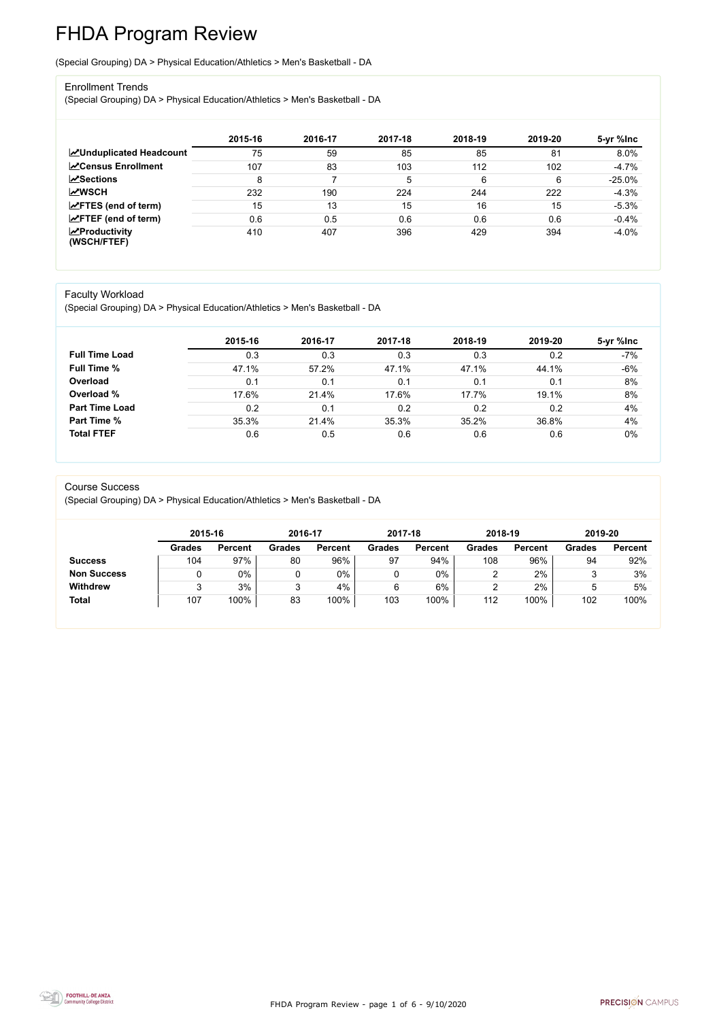FHDA Program Review - page 1 of 6 - 9/10/2020



# FHDA Program Review

(Special Grouping) DA > Physical Education/Athletics > Men's Basketball - DA

#### Enrollment Trends

(Special Grouping) DA > Physical Education/Athletics > Men's Basketball - DA

|                                    | 2015-16 | 2016-17 | 2017-18 | 2018-19 | 2019-20 | 5-yr %lnc |
|------------------------------------|---------|---------|---------|---------|---------|-----------|
| <b>ZUnduplicated Headcount</b>     | 75      | 59      | 85      | 85      | 81      | 8.0%      |
| <b>ZCensus Enrollment</b>          | 107     | 83      | 103     | 112     | 102     | $-4.7%$   |
| <b>ZSections</b>                   | 8       |         | 5       | 6       | 6       | $-25.0%$  |
| <b>MWSCH</b>                       | 232     | 190     | 224     | 244     | 222     | $-4.3%$   |
| $\angle$ FTES (end of term)        | 15      | 13      | 15      | 16      | 15      | $-5.3%$   |
| $\angle$ FTEF (end of term)        | 0.6     | 0.5     | 0.6     | 0.6     | 0.6     | $-0.4%$   |
| $\chi$ Productivity<br>(WSCH/FTEF) | 410     | 407     | 396     | 429     | 394     | $-4.0%$   |

#### Faculty Workload

(Special Grouping) DA > Physical Education/Athletics > Men's Basketball - DA

|                       | 2015-16 | 2016-17 | 2017-18 | 2018-19 | 2019-20 | 5-yr %lnc |
|-----------------------|---------|---------|---------|---------|---------|-----------|
| <b>Full Time Load</b> | 0.3     | 0.3     | 0.3     | 0.3     | 0.2     | $-7%$     |
| <b>Full Time %</b>    | 47.1%   | 57.2%   | 47.1%   | 47.1%   | 44.1%   | $-6%$     |
| Overload              | 0.1     | 0.1     | 0.1     | 0.1     | 0.1     | 8%        |
| Overload %            | 17.6%   | 21.4%   | 17.6%   | 17.7%   | 19.1%   | 8%        |
| <b>Part Time Load</b> | 0.2     | 0.1     | 0.2     | 0.2     | 0.2     | 4%        |
| Part Time %           | 35.3%   | 21.4%   | 35.3%   | 35.2%   | 36.8%   | 4%        |
| <b>Total FTEF</b>     | 0.6     | 0.5     | 0.6     | 0.6     | 0.6     | 0%        |

#### Course Success

(Special Grouping) DA > Physical Education/Athletics > Men's Basketball - DA

|                    |               | 2015-16        |               | 2016-17        |               | 2017-18        | 2018-19       |                | 2019-20       |                |
|--------------------|---------------|----------------|---------------|----------------|---------------|----------------|---------------|----------------|---------------|----------------|
|                    | <b>Grades</b> | <b>Percent</b> | <b>Grades</b> | <b>Percent</b> | <b>Grades</b> | <b>Percent</b> | <b>Grades</b> | <b>Percent</b> | <b>Grades</b> | <b>Percent</b> |
| <b>Success</b>     | 104           | 97%            | 80            | 96%            | 97            | 94%            | 108           | 96%            | 94            | 92%            |
| <b>Non Success</b> |               | $0\%$          |               | 0%             | U             | $0\%$          |               | 2%             |               | 3%             |
| <b>Withdrew</b>    |               | 3%             | ◠             | 4%             | 6             | 6%             |               | 2%             |               | 5%             |
| <b>Total</b>       | 107           | 100%           | 83            | 100%           | 103           | 100%           | 112           | 100%           | 102           | 100%           |

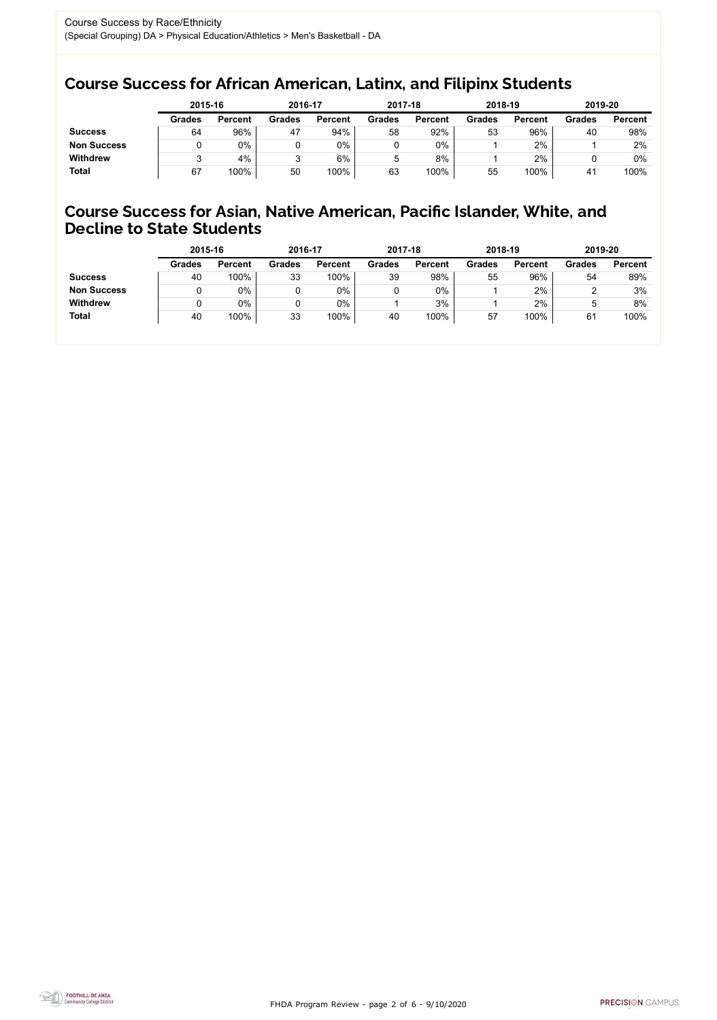FHDA Program Review - page 2 of 6 - 9/10/2020



### Course Success for African American, Latinx, and Filipinx Students

### Course Success for Asian, Native American, Pacific Islander, White, and Decline to State Students

|                    | 2015-16       |                | 2016-17       |                | 2017-18       |                | 2018-19       |                | 2019-20       |                |
|--------------------|---------------|----------------|---------------|----------------|---------------|----------------|---------------|----------------|---------------|----------------|
|                    | <b>Grades</b> | <b>Percent</b> | <b>Grades</b> | <b>Percent</b> | <b>Grades</b> | <b>Percent</b> | <b>Grades</b> | <b>Percent</b> | <b>Grades</b> | <b>Percent</b> |
| <b>Success</b>     | 64            | 96%            | 47            | 94%            | 58            | 92%            | 53            | 96%            | 40            | 98%            |
| <b>Non Success</b> |               | $0\%$          |               | $0\%$          |               | $0\%$          |               | 2%             |               | 2%             |
| <b>Withdrew</b>    |               | 4%             | ື             | 6%             | ხ             | 8%             |               | 2%             |               | 0%             |
| <b>Total</b>       | 67            | 100%           | 50            | 100%           | 63            | 100%           | 55            | 100%           | 41            | 100%           |

|                    | 2015-16       |                | 2016-17       |                | 2017-18       |                | 2018-19       |                | 2019-20       |                |
|--------------------|---------------|----------------|---------------|----------------|---------------|----------------|---------------|----------------|---------------|----------------|
|                    | <b>Grades</b> | <b>Percent</b> | <b>Grades</b> | <b>Percent</b> | <b>Grades</b> | <b>Percent</b> | <b>Grades</b> | <b>Percent</b> | <b>Grades</b> | <b>Percent</b> |
| <b>Success</b>     | 40            | 100%           | 33            | 100%           | 39            | 98%            | 55            | 96%            | 54            | 89%            |
| <b>Non Success</b> |               | 0%             |               | 0%             |               | $0\%$          |               | 2%             |               | 3%             |
| <b>Withdrew</b>    |               | $0\%$          |               | 0%             |               | 3%             |               | 2%             | ა             | 8%             |
| <b>Total</b>       | 40            | 100%           | 33            | 100%           | 40            | 100%           | 57            | 100%           | 61            | 100%           |
|                    |               |                |               |                |               |                |               |                |               |                |

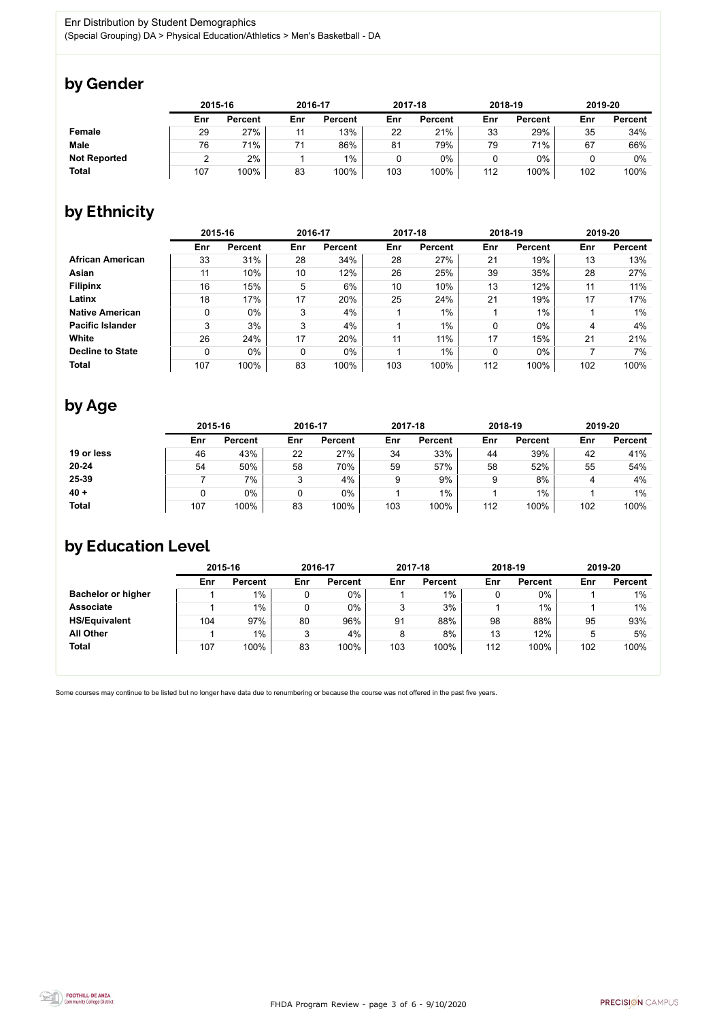

Some courses may continue to be listed but no longer have data due to renumbering or because the course was not offered in the past five years.



## by Gender

|                     |     | 2015-16        |     | 2016-17        |     | 2017-18        |     | 2018-19        |     | 2019-20        |  |
|---------------------|-----|----------------|-----|----------------|-----|----------------|-----|----------------|-----|----------------|--|
|                     | Enr | <b>Percent</b> | Enr | <b>Percent</b> | Enr | <b>Percent</b> | Enr | <b>Percent</b> | Enr | <b>Percent</b> |  |
| <b>Female</b>       | 29  | 27%            | 11  | 13%            | 22  | 21%            | 33  | 29%            | 35  | 34%            |  |
| <b>Male</b>         | 76  | 71%            |     | 86%            | 81  | 79%            | 79  | 71%            | 67  | 66%            |  |
| <b>Not Reported</b> |     | 2%             |     | $1\%$          |     | $0\%$          |     | $0\%$          |     | 0%             |  |
| <b>Total</b>        | 107 | 100%           | 83  | 100%           | 103 | 100%           | 112 | 100%           | 102 | 100%           |  |

## by Ethnicity

|                         | 2015-16 |                |     | 2016-17        |     | 2017-18        | 2018-19 |                | 2019-20 |                |
|-------------------------|---------|----------------|-----|----------------|-----|----------------|---------|----------------|---------|----------------|
|                         | Enr     | <b>Percent</b> | Enr | <b>Percent</b> | Enr | <b>Percent</b> | Enr     | <b>Percent</b> | Enr     | <b>Percent</b> |
| <b>African American</b> | 33      | 31%            | 28  | 34%            | 28  | 27%            | 21      | 19%            | 13      | 13%            |
| <b>Asian</b>            | 11      | 10%            | 10  | 12%            | 26  | 25%            | 39      | 35%            | 28      | 27%            |
| <b>Filipinx</b>         | 16      | 15%            | 5   | 6%             | 10  | 10%            | 13      | 12%            | 11      | 11%            |
| Latinx                  | 18      | 17%            | 17  | 20%            | 25  | 24%            | 21      | 19%            | 17      | 17%            |
| <b>Native American</b>  | 0       | $0\%$          | 3   | 4%             |     | $1\%$          |         | 1%             |         | $1\%$          |
| <b>Pacific Islander</b> | 3       | 3%             | 3   | 4%             |     | $1\%$          | 0       | $0\%$          | 4       | 4%             |
| White                   | 26      | 24%            | 17  | 20%            | 11  | 11%            | 17      | 15%            | 21      | 21%            |
| <b>Decline to State</b> | 0       | $0\%$          | 0   | $0\%$          |     | $1\%$          | 0       | $0\%$          |         | 7%             |
| <b>Total</b>            | 107     | 100%           | 83  | 100%           | 103 | 100%           | 112     | 100%           | 102     | 100%           |

### by Age

|              | 2015-16 |                |     | 2016-17        |     | 2017-18        |     | 2018-19        | 2019-20 |                |
|--------------|---------|----------------|-----|----------------|-----|----------------|-----|----------------|---------|----------------|
|              | Enr     | <b>Percent</b> | Enr | <b>Percent</b> | Enr | <b>Percent</b> | Enr | <b>Percent</b> | Enr     | <b>Percent</b> |
| 19 or less   | 46      | 43%            | 22  | 27%            | 34  | 33%            | 44  | 39%            | 42      | 41%            |
| $20 - 24$    | 54      | 50%            | 58  | 70%            | 59  | 57%            | 58  | 52%            | 55      | 54%            |
| 25-39        |         | 7%             | ◠   | 4%             | 9   | 9%             | 9   | 8%             |         | 4%             |
| $40 +$       |         | 0%             |     | $0\%$          |     | 1%             |     | $1\%$          |         | $1\%$          |
| <b>Total</b> | 107     | 100%           | 83  | 100%           | 103 | 100%           | 112 | 100%           | 102     | 100%           |

## by Education Level

|                           | 2015-16 |                |     | 2016-17        |     | 2017-18        | 2018-19 |                | 2019-20 |                |
|---------------------------|---------|----------------|-----|----------------|-----|----------------|---------|----------------|---------|----------------|
|                           | Enr     | <b>Percent</b> | Enr | <b>Percent</b> | Enr | <b>Percent</b> | Enr     | <b>Percent</b> | Enr     | <b>Percent</b> |
| <b>Bachelor or higher</b> |         | $1\%$          |     | 0%             |     | $1\%$          |         | $0\%$          |         | $1\%$          |
| <b>Associate</b>          |         | $1\%$          |     | 0%             | ົ   | 3%             |         | 1%             |         | $1\%$          |
| <b>HS/Equivalent</b>      | 104     | 97%            | 80  | 96%            | 91  | 88%            | 98      | 88%            | 95      | 93%            |
| <b>All Other</b>          |         | $1\%$          | 3   | 4%             | 8   | 8%             | 13      | 12%            | 5       | 5%             |
| <b>Total</b>              | 107     | 100%           | 83  | 100%           | 103 | 100%           | 112     | 100%           | 102     | 100%           |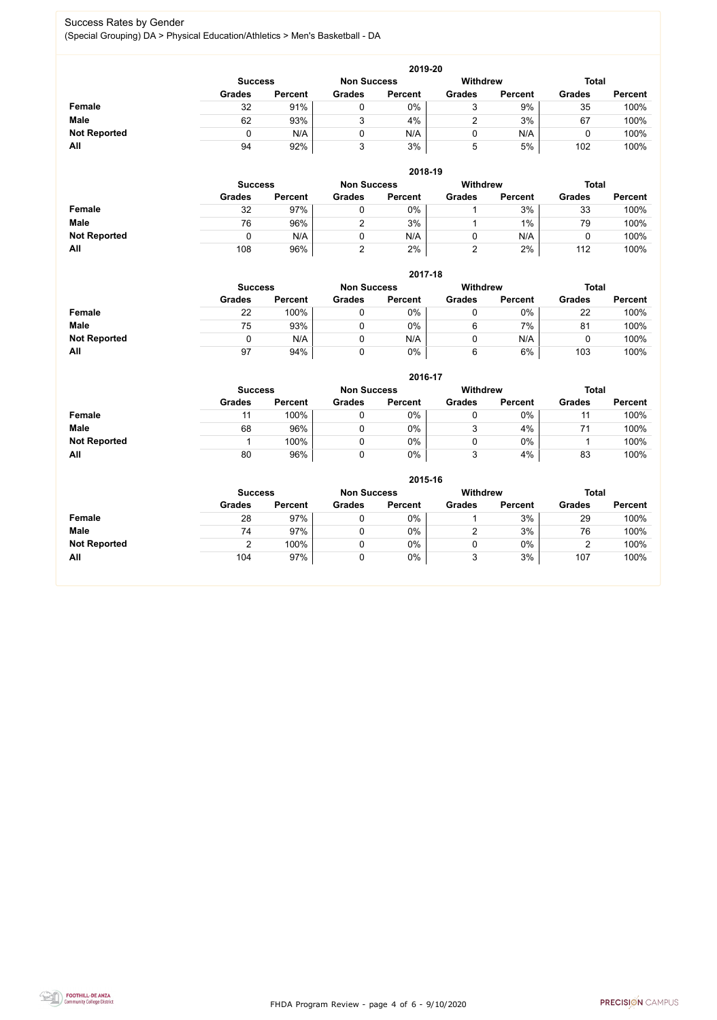FHDA Program Review - page 4 of 6 - 9/10/2020



#### Success Rates by Gender (Special Grouping) DA > Physical Education/Athletics > Men's Basketball - DA

|                     | 2019-20                                                                 |                |               |                |               |                |               |                |  |  |  |  |
|---------------------|-------------------------------------------------------------------------|----------------|---------------|----------------|---------------|----------------|---------------|----------------|--|--|--|--|
|                     | <b>Withdrew</b><br><b>Total</b><br><b>Non Success</b><br><b>Success</b> |                |               |                |               |                |               |                |  |  |  |  |
|                     | <b>Grades</b>                                                           | <b>Percent</b> | <b>Grades</b> | <b>Percent</b> | <b>Grades</b> | <b>Percent</b> | <b>Grades</b> | <b>Percent</b> |  |  |  |  |
| <b>Female</b>       | 32                                                                      | 91%            |               | 0%             | ັ             | 9%             | 35            | 100%           |  |  |  |  |
| <b>Male</b>         | 62                                                                      | 93%            | ົ             | 4%             |               | 3%             | 67            | 100%           |  |  |  |  |
| <b>Not Reported</b> |                                                                         | N/A            |               | N/A            | U             | N/A            |               | 100%           |  |  |  |  |
| All                 | 94                                                                      | 92%            | ົ             | 3%             | 5             | 5%             | 102           | 100%           |  |  |  |  |

|                     |                | 2018-19        |                    |                 |               |                |               |                |  |  |  |  |  |  |
|---------------------|----------------|----------------|--------------------|-----------------|---------------|----------------|---------------|----------------|--|--|--|--|--|--|
|                     | <b>Success</b> |                | <b>Non Success</b> | <b>Withdrew</b> |               | <b>Total</b>   |               |                |  |  |  |  |  |  |
|                     | <b>Grades</b>  | <b>Percent</b> | <b>Grades</b>      | <b>Percent</b>  | <b>Grades</b> | <b>Percent</b> | <b>Grades</b> | <b>Percent</b> |  |  |  |  |  |  |
| <b>Female</b>       | 32             | 97%            |                    | 0%              |               | 3%             | 33            | 100%           |  |  |  |  |  |  |
| <b>Male</b>         | 76             | 96%            | ◠                  | 3%              |               | $1\%$          | 79            | 100%           |  |  |  |  |  |  |
| <b>Not Reported</b> |                | N/A            |                    | N/A             | U             | N/A            |               | 100%           |  |  |  |  |  |  |
| All                 | 108            | 96%            |                    | 2%              |               | 2%             | 112           | 100%           |  |  |  |  |  |  |

|                     |               | 2017-18                                                                 |               |                |               |                |               |                |  |  |  |  |  |  |
|---------------------|---------------|-------------------------------------------------------------------------|---------------|----------------|---------------|----------------|---------------|----------------|--|--|--|--|--|--|
|                     |               | <b>Withdrew</b><br><b>Total</b><br><b>Non Success</b><br><b>Success</b> |               |                |               |                |               |                |  |  |  |  |  |  |
|                     | <b>Grades</b> | <b>Percent</b>                                                          | <b>Grades</b> | <b>Percent</b> | <b>Grades</b> | <b>Percent</b> | <b>Grades</b> | <b>Percent</b> |  |  |  |  |  |  |
| <b>Female</b>       | 22            | 100%                                                                    |               | 0%             |               | $0\%$          | 22            | 100%           |  |  |  |  |  |  |
| <b>Male</b>         | 75            | 93%                                                                     |               | 0%             | 6             | $7\%$          | 81            | 100%           |  |  |  |  |  |  |
| <b>Not Reported</b> | 0             | N/A                                                                     | 0             | N/A            |               | N/A            | υ             | 100%           |  |  |  |  |  |  |
| All                 | 97            | 94%                                                                     | 0             | 0%             | 6             | 6%             | 103           | 100%           |  |  |  |  |  |  |

|                     |               | 2016-17                              |               |                |                 |                |               |                |  |  |
|---------------------|---------------|--------------------------------------|---------------|----------------|-----------------|----------------|---------------|----------------|--|--|
|                     |               | <b>Non Success</b><br><b>Success</b> |               |                | <b>Withdrew</b> |                | <b>Total</b>  |                |  |  |
|                     | <b>Grades</b> | <b>Percent</b>                       | <b>Grades</b> | <b>Percent</b> | <b>Grades</b>   | <b>Percent</b> | <b>Grades</b> | <b>Percent</b> |  |  |
| Female              | -11           | 100%                                 |               | 0%             |                 | $0\%$          | 11            | 100%           |  |  |
| <b>Male</b>         | 68            | 96%                                  |               | $0\%$          |                 | 4%             |               | 100%           |  |  |
| <b>Not Reported</b> |               | 100%                                 |               | 0%             |                 | $0\%$          |               | 100%           |  |  |
| All                 | 80            | 96%                                  |               | $0\%$          | າ<br>ື          | 4%             | 83            | 100%           |  |  |

|                     |                | 2015-16        |                    |                |               |                |               |                |  |  |
|---------------------|----------------|----------------|--------------------|----------------|---------------|----------------|---------------|----------------|--|--|
|                     | <b>Success</b> |                | <b>Non Success</b> |                | Withdrew      |                | <b>Total</b>  |                |  |  |
|                     | <b>Grades</b>  | <b>Percent</b> | <b>Grades</b>      | <b>Percent</b> | <b>Grades</b> | <b>Percent</b> | <b>Grades</b> | <b>Percent</b> |  |  |
| Female              | 28             | 97%            | 0                  | $0\%$          |               | 3%             | 29            | 100%           |  |  |
| <b>Male</b>         | 74             | 97%            | 0                  | $0\%$          | ⌒             | 3%             | 76            | 100%           |  |  |
| <b>Not Reported</b> | ◠              | 100%           | 0                  | $0\%$          | v             | $0\%$          | ⌒             | 100%           |  |  |
| All                 | 104            | 97%            | 0                  | $0\%$          | 2<br>ັບ       | 3%             | 107           | 100%           |  |  |

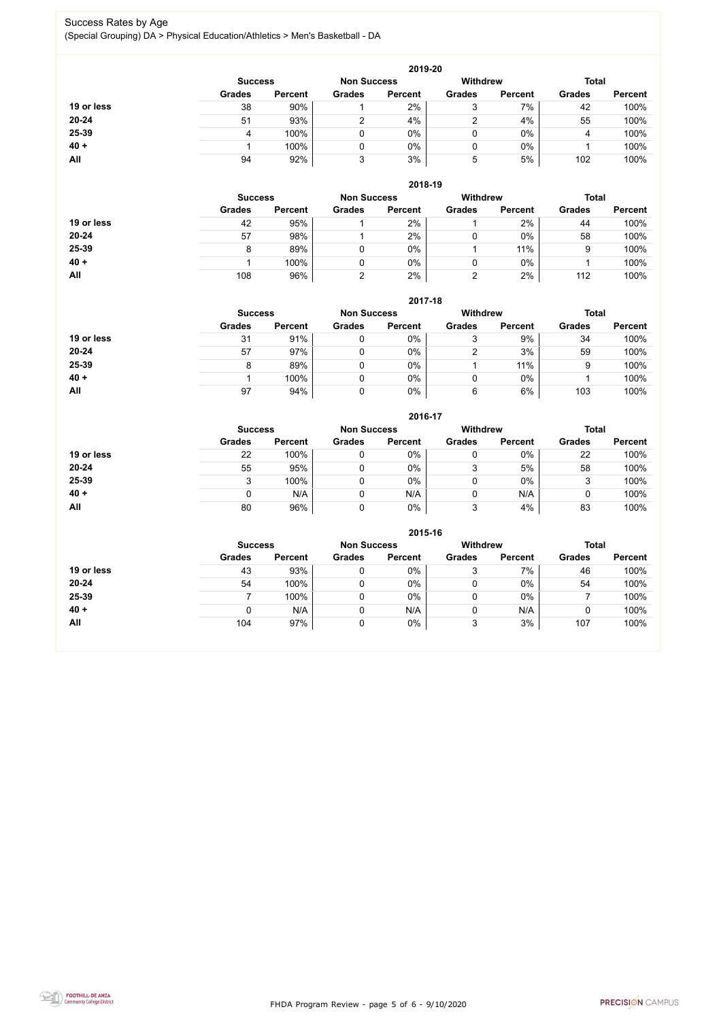FHDA Program Review - page 5 of 6 - 9/10/2020



#### Success Rates by Age (Special Grouping) DA > Physical Education/Athletics > Men's Basketball - DA

|            | 2019-20        |                    |               |                |                                 |                |               |                |  |
|------------|----------------|--------------------|---------------|----------------|---------------------------------|----------------|---------------|----------------|--|
|            | <b>Success</b> | <b>Non Success</b> |               |                | <b>Withdrew</b><br><b>Total</b> |                |               |                |  |
|            | <b>Grades</b>  | <b>Percent</b>     | <b>Grades</b> | <b>Percent</b> | <b>Grades</b>                   | <b>Percent</b> | <b>Grades</b> | <b>Percent</b> |  |
| 19 or less | 38             | 90%                |               | 2%             | 3                               | 7%             | 42            | 100%           |  |
| 20-24      | 51             | 93%                | ົ             | 4%             | ົ                               | 4%             | 55            | 100%           |  |
| 25-39      | 4              | 100%               |               | 0%             | 0                               | $0\%$          | 4             | 100%           |  |
| $40 +$     |                | 100%               |               | 0%             | 0                               | $0\%$          |               | 100%           |  |
| <b>All</b> | 94             | 92%                | 3             | 3%             | 5                               | 5%             | 102           | 100%           |  |

|            | 2018-19        |                    |               |                 |               |                |               |                |  |
|------------|----------------|--------------------|---------------|-----------------|---------------|----------------|---------------|----------------|--|
|            | <b>Success</b> | <b>Non Success</b> |               | <b>Withdrew</b> |               |                | <b>Total</b>  |                |  |
|            | <b>Grades</b>  | <b>Percent</b>     | <b>Grades</b> | <b>Percent</b>  | <b>Grades</b> | <b>Percent</b> | <b>Grades</b> | <b>Percent</b> |  |
| 19 or less | 42             | 95%                |               | 2%              |               | 2%             | 44            | 100%           |  |
| $20 - 24$  | 57             | 98%                |               | 2%              | 0             | $0\%$          | 58            | 100%           |  |
| 25-39      | 8              | 89%                |               | $0\%$           |               | 11%            | 9             | 100%           |  |
| $40 +$     |                | 100%               |               | $0\%$           | 0             | $0\%$          |               | 100%           |  |
| All        | 108            | 96%                |               | 2%              | ⌒             | 2%             | 112           | 100%           |  |

### **2017-18**

|            |                |                    |               | 2017-18         |               |                |               |                |
|------------|----------------|--------------------|---------------|-----------------|---------------|----------------|---------------|----------------|
|            | <b>Success</b> | <b>Non Success</b> |               | <b>Withdrew</b> |               | <b>Total</b>   |               |                |
|            | <b>Grades</b>  | <b>Percent</b>     | <b>Grades</b> | <b>Percent</b>  | <b>Grades</b> | <b>Percent</b> | <b>Grades</b> | <b>Percent</b> |
| 19 or less | 31             | 91%                |               | $0\%$           |               | 9%             | 34            | 100%           |
| $20 - 24$  | 57             | 97%                |               | 0%              |               | 3%             | 59            | 100%           |
| 25-39      |                | 89%                |               | 0%              |               | 11%            | 9             | 100%           |
| $40 +$     |                | 100%               |               | 0%              |               | 0%             |               | 100%           |
| All        | 97             | 94%                |               | $0\%$           | 6             | 6%             | 103           | 100%           |

**2016-17**



|            |                |                    |               | ZU10-17         |               |                |               |                |
|------------|----------------|--------------------|---------------|-----------------|---------------|----------------|---------------|----------------|
|            | <b>Success</b> | <b>Non Success</b> |               | <b>Withdrew</b> |               | <b>Total</b>   |               |                |
|            | <b>Grades</b>  | <b>Percent</b>     | <b>Grades</b> | <b>Percent</b>  | <b>Grades</b> | <b>Percent</b> | <b>Grades</b> | <b>Percent</b> |
| 19 or less | 22             | 100%               |               | $0\%$           | 0             | $0\%$          | 22            | 100%           |
| $20 - 24$  | 55             | 95%                |               | $0\%$           | 3             | 5%             | 58            | 100%           |
| 25-39      |                | 100%               |               | $0\%$           | 0             | $0\%$          |               | 100%           |
| $40 +$     |                | N/A                |               | N/A             | 0             | N/A            |               | 100%           |
| All        | 80             | 96%                |               | $0\%$           | 3             | 4%             | 83            | 100%           |

|            | 2015-16                              |                |               |                |                 |                |               |                |  |
|------------|--------------------------------------|----------------|---------------|----------------|-----------------|----------------|---------------|----------------|--|
|            | <b>Non Success</b><br><b>Success</b> |                |               |                | <b>Withdrew</b> |                | <b>Total</b>  |                |  |
|            | <b>Grades</b>                        | <b>Percent</b> | <b>Grades</b> | <b>Percent</b> | <b>Grades</b>   | <b>Percent</b> | <b>Grades</b> | <b>Percent</b> |  |
| 19 or less | 43                                   | 93%            |               | $0\%$          | 3               | 7%             | 46            | 100%           |  |
| 20-24      | 54                                   | 100%           |               | $0\%$          |                 | 0%             | 54            | 100%           |  |
| 25-39      |                                      | 100%           |               | $0\%$          |                 | 0%             |               | 100%           |  |
| $40 +$     | 0                                    | N/A            |               | N/A            |                 | N/A            |               | 100%           |  |
| <b>All</b> | 104                                  | 97%            |               | 0%             | 3               | 3%             | 107           | 100%           |  |